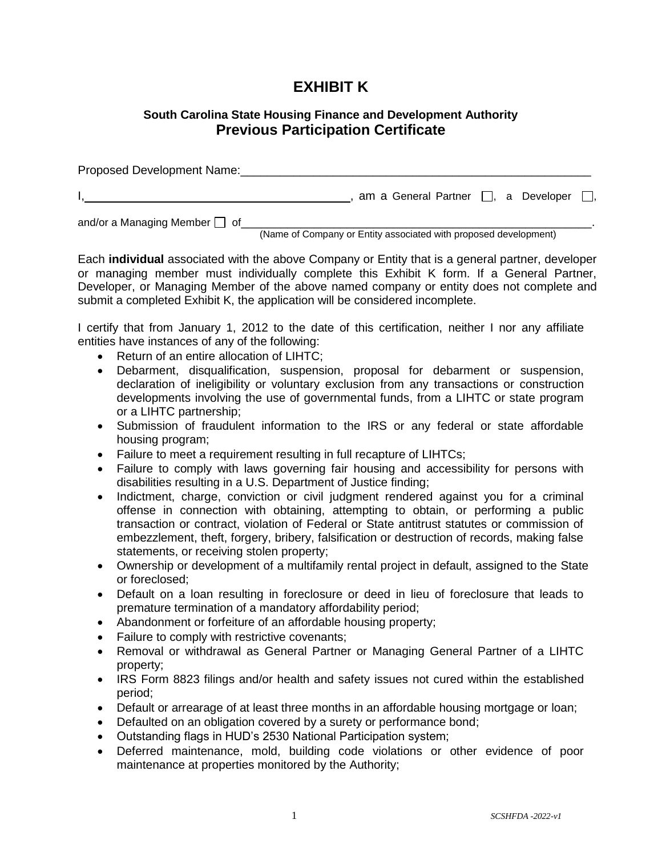## **EXHIBIT K**

## **South Carolina State Housing Finance and Development Authority Previous Participation Certificate**

Proposed Development Name: I, and a General Partner  $\Box$ , a Developer  $\Box$ , and/or a Managing Member  $\Box$  of

(Name of Company or Entity associated with proposed development)

Each **individual** associated with the above Company or Entity that is a general partner, developer or managing member must individually complete this Exhibit K form. If a General Partner, Developer, or Managing Member of the above named company or entity does not complete and submit a completed Exhibit K, the application will be considered incomplete.

I certify that from January 1, 2012 to the date of this certification, neither I nor any affiliate entities have instances of any of the following:

- Return of an entire allocation of LIHTC;
- Debarment, disqualification, suspension, proposal for debarment or suspension, declaration of ineligibility or voluntary exclusion from any transactions or construction developments involving the use of governmental funds, from a LIHTC or state program or a LIHTC partnership;
- Submission of fraudulent information to the IRS or any federal or state affordable housing program;
- Failure to meet a requirement resulting in full recapture of LIHTCs;
- Failure to comply with laws governing fair housing and accessibility for persons with disabilities resulting in a U.S. Department of Justice finding;
- Indictment, charge, conviction or civil judgment rendered against you for a criminal offense in connection with obtaining, attempting to obtain, or performing a public transaction or contract, violation of Federal or State antitrust statutes or commission of embezzlement, theft, forgery, bribery, falsification or destruction of records, making false statements, or receiving stolen property;
- Ownership or development of a multifamily rental project in default, assigned to the State or foreclosed;
- Default on a loan resulting in foreclosure or deed in lieu of foreclosure that leads to premature termination of a mandatory affordability period;
- Abandonment or forfeiture of an affordable housing property;
- Failure to comply with restrictive covenants;
- Removal or withdrawal as General Partner or Managing General Partner of a LIHTC property;
- IRS Form 8823 filings and/or health and safety issues not cured within the established period;
- Default or arrearage of at least three months in an affordable housing mortgage or loan;
- Defaulted on an obligation covered by a surety or performance bond;
- Outstanding flags in HUD's 2530 National Participation system;
- Deferred maintenance, mold, building code violations or other evidence of poor maintenance at properties monitored by the Authority;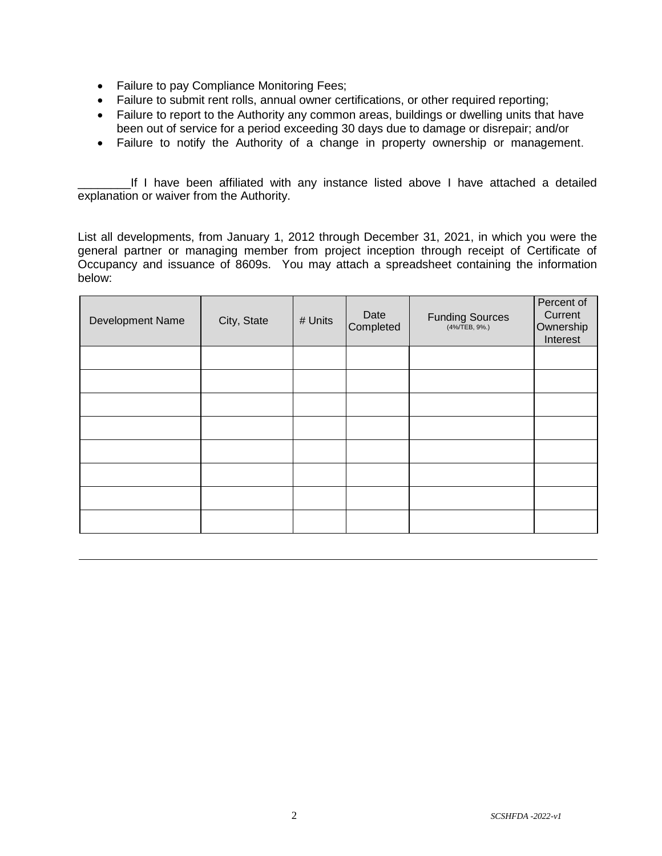- Failure to pay Compliance Monitoring Fees;
- Failure to submit rent rolls, annual owner certifications, or other required reporting;
- Failure to report to the Authority any common areas, buildings or dwelling units that have been out of service for a period exceeding 30 days due to damage or disrepair; and/or
- Failure to notify the Authority of a change in property ownership or management.

If I have been affiliated with any instance listed above I have attached a detailed explanation or waiver from the Authority.

List all developments, from January 1, 2012 through December 31, 2021, in which you were the general partner or managing member from project inception through receipt of Certificate of Occupancy and issuance of 8609s. You may attach a spreadsheet containing the information below:

| Development Name | City, State | # Units | Date<br>Completed | Funding Sources | Percent of<br>Current<br>Ownership<br>Interest |
|------------------|-------------|---------|-------------------|-----------------|------------------------------------------------|
|                  |             |         |                   |                 |                                                |
|                  |             |         |                   |                 |                                                |
|                  |             |         |                   |                 |                                                |
|                  |             |         |                   |                 |                                                |
|                  |             |         |                   |                 |                                                |
|                  |             |         |                   |                 |                                                |
|                  |             |         |                   |                 |                                                |
|                  |             |         |                   |                 |                                                |